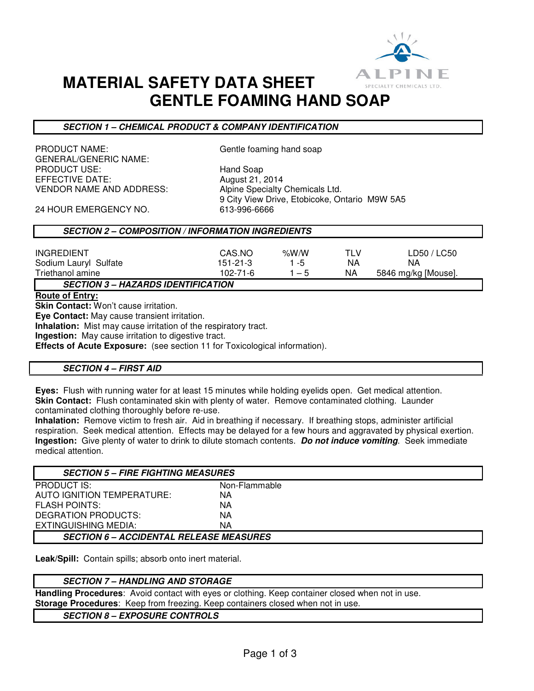

# **MATERIAL SAFETY DATA SHEET GENTLE FOAMING HAND SOAP**

# **SECTION 1 – CHEMICAL PRODUCT & COMPANY IDENTIFICATION**

PRODUCT NAME: Gentle foaming hand soap GENERAL/GENERIC NAME: PRODUCT USE: Hand Soap EFFECTIVE DATE:  $\frac{1}{2014}$ VENDOR NAME AND ADDRESS: Alpine Specialty Chemicals Ltd.

9 City View Drive, Etobicoke, Ontario M9W 5A5

24 HOUR EMERGENCY NO. 613-996-6666

# **SECTION 2 – COMPOSITION / INFORMATION INGREDIENTS**

| <b>INGREDIENT</b>                            | CAS.NO         | % $W/W$ | TI V | LD50 / LC50         |
|----------------------------------------------|----------------|---------|------|---------------------|
| Sodium Lauryl Sulfate                        | 151-21-3       | ົ່-5    | ΝA   | ΝA                  |
| Triethanol amine                             | $102 - 71 - 6$ | - 5     | NA   | 5846 mg/kg [Mouse]. |
| <b>UAZADDO IDENTIEIO ATIONI</b><br>CECTION 2 |                |         |      |                     |

**SECTION 3 – HAZARDS IDENTIFICATION** 

**Route of Entry:** 

**Skin Contact:** Won't cause irritation.

**Eye Contact:** May cause transient irritation.

**Inhalation:** Mist may cause irritation of the respiratory tract.

**Ingestion:** May cause irritation to digestive tract.

**Effects of Acute Exposure:** (see section 11 for Toxicological information).

### **SECTION 4 – FIRST AID**

**Eyes:** Flush with running water for at least 15 minutes while holding eyelids open. Get medical attention. **Skin Contact:** Flush contaminated skin with plenty of water. Remove contaminated clothing. Launder contaminated clothing thoroughly before re-use.

**Inhalation:** Remove victim to fresh air. Aid in breathing if necessary. If breathing stops, administer artificial respiration. Seek medical attention. Effects may be delayed for a few hours and aggravated by physical exertion. **Ingestion:** Give plenty of water to drink to dilute stomach contents. **Do not induce vomiting**. Seek immediate medical attention.

| <b>SECTION 5 – FIRE FIGHTING MEASURES</b>      |               |  |
|------------------------------------------------|---------------|--|
| <b>PRODUCT IS:</b>                             | Non-Flammable |  |
| AUTO IGNITION TEMPERATURE:                     | ΝA            |  |
| <b>FLASH POINTS:</b>                           | ΝA            |  |
| DEGRATION PRODUCTS:                            | ΝA            |  |
| EXTINGUISHING MEDIA:                           | ΝA            |  |
| <b>SECTION 6 – ACCIDENTAL RELEASE MEASURES</b> |               |  |

**Leak/Spill:** Contain spills; absorb onto inert material.

# **SECTION 7 – HANDLING AND STORAGE**

**Handling Procedures**: Avoid contact with eyes or clothing. Keep container closed when not in use. **Storage Procedures**: Keep from freezing. Keep containers closed when not in use.

**SECTION 8 – EXPOSURE CONTROLS**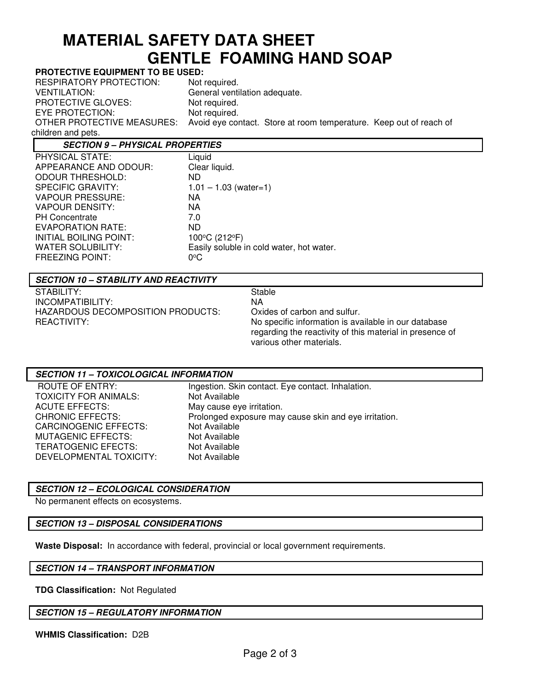# **MATERIAL SAFETY DATA SHEET GENTLE FOAMING HAND SOAP**

# **PROTECTIVE EQUIPMENT TO BE USED:**

RESPIRATORY PROTECTION: Not required. VENTILATION: General ventilation adequate.<br>
PROTECTIVE GLOVES: Not required. PROTECTIVE GLOVES: EYE PROTECTION: Not required. OTHER PROTECTIVE MEASURES: Avoid eye contact. Store at room temperature. Keep out of reach of children and pets.

## **SECTION 9 – PHYSICAL PROPERTIES**

| Liquid                                   |
|------------------------------------------|
| Clear liquid.                            |
| ND.                                      |
| $1.01 - 1.03$ (water=1)                  |
| NA                                       |
| NA.                                      |
| 7.0                                      |
| ND.                                      |
| 100°C (212°F)                            |
| Easily soluble in cold water, hot water. |
| $0^{\circ}$ C                            |
|                                          |

# **SECTION 10 – STABILITY AND REACTIVITY**

STABILITY: Stable INCOMPATIBILITY:<br>HAZARDOUS DECOMPOSITION PRODUCTS: Oxides of carbon and sulfur. HAZARDOUS DECOMPOSITION PRODUCTS:

REACTIVITY: No specific information is available in our database regarding the reactivity of this material in presence of various other materials.

### **SECTION 11 – TOXICOLOGICAL INFORMATION**

| <b>ROUTE OF ENTRY:</b>  | Ingestion. Skin contact. Eye contact. Inhalation.     |
|-------------------------|-------------------------------------------------------|
| TOXICITY FOR ANIMALS:   | Not Available                                         |
| ACUTE EFFECTS:          | May cause eye irritation.                             |
| CHRONIC EFFECTS:        | Prolonged exposure may cause skin and eye irritation. |
| CARCINOGENIC EFFECTS:   | Not Available                                         |
| MUTAGENIC EFFECTS:      | Not Available                                         |
| TERATOGENIC EFECTS:     | Not Available                                         |
| DEVELOPMENTAL TOXICITY: | Not Available                                         |
|                         |                                                       |

### **SECTION 12 – ECOLOGICAL CONSIDERATION**

No permanent effects on ecosystems.

### **SECTION 13 – DISPOSAL CONSIDERATIONS**

**Waste Disposal:** In accordance with federal, provincial or local government requirements.

### **SECTION 14 – TRANSPORT INFORMATION**

**TDG Classification:** Not Regulated

**SECTION 15 – REGULATORY INFORMATION**